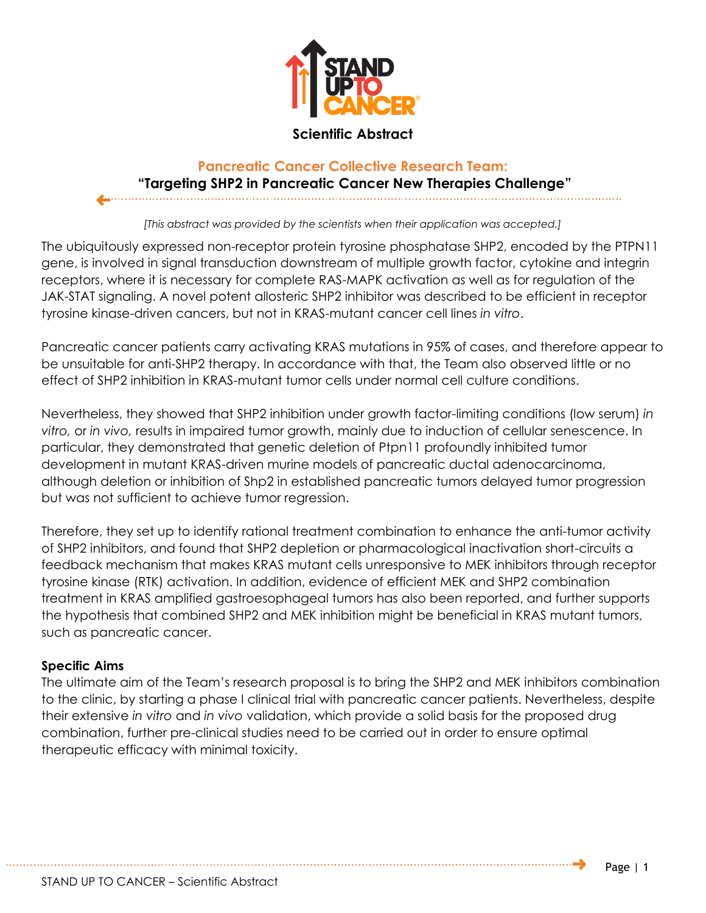

## **Scientific Abstract**

## **Pancreatic Cancer Collective Research Team: "Targeting SHP2 in Pancreatic Cancer New Therapies Challenge"**

*[This abstract was provided by the scientists when their application was accepted.]*

The ubiquitously expressed non-receptor protein tyrosine phosphatase SHP2, encoded by the PTPN11 gene, is involved in signal transduction downstream of multiple growth factor, cytokine and integrin receptors, where it is necessary for complete RAS-MAPK activation as well as for regulation of the JAK-STAT signaling. A novel potent allosteric SHP2 inhibitor was described to be efficient in receptor tyrosine kinase-driven cancers, but not in KRAS-mutant cancer cell lines *in vitro*.

Pancreatic cancer patients carry activating KRAS mutations in 95% of cases, and therefore appear to be unsuitable for anti-SHP2 therapy. In accordance with that, the Team also observed little or no effect of SHP2 inhibition in KRAS-mutant tumor cells under normal cell culture conditions.

Nevertheless, they showed that SHP2 inhibition under growth factor-limiting conditions (low serum) *in vitro,* or *in vivo,* results in impaired tumor growth, mainly due to induction of cellular senescence. In particular, they demonstrated that genetic deletion of Ptpn11 profoundly inhibited tumor development in mutant KRAS-driven murine models of pancreatic ductal adenocarcinoma, although deletion or inhibition of Shp2 in established pancreatic tumors delayed tumor progression but was not sufficient to achieve tumor regression.

Therefore, they set up to identify rational treatment combination to enhance the anti-tumor activity of SHP2 inhibitors, and found that SHP2 depletion or pharmacological inactivation short-circuits a feedback mechanism that makes KRAS mutant cells unresponsive to MEK inhibitors through receptor tyrosine kinase (RTK) activation. In addition, evidence of efficient MEK and SHP2 combination treatment in KRAS amplified gastroesophageal tumors has also been reported, and further supports the hypothesis that combined SHP2 and MEK inhibition might be beneficial in KRAS mutant tumors, such as pancreatic cancer.

## **Specific Aims**

The ultimate aim of the Team's research proposal is to bring the SHP2 and MEK inhibitors combination to the clinic, by starting a phase I clinical trial with pancreatic cancer patients. Nevertheless, despite their extensive *in vitro* and *in vivo* validation, which provide a solid basis for the proposed drug combination, further pre-clinical studies need to be carried out in order to ensure optimal therapeutic efficacy with minimal toxicity.